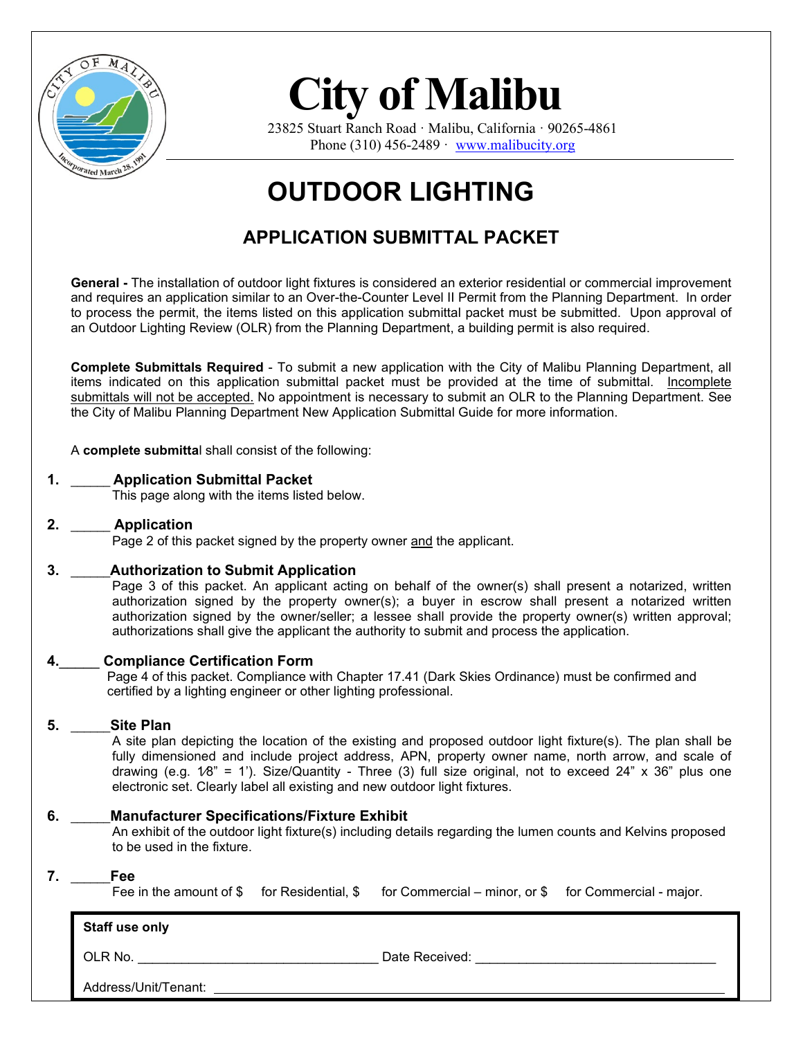

23825 Stuart Ranch Road · Malibu, California · 90265-4861 Phone  $(310)$  456-2489 · [www.malibucity.org](http://www.malibucity.org/)

## **OUTDOOR LIGHTING**

### **APPLICATION SUBMITTAL PACKET**

**General -** The installation of outdoor light fixtures is considered an exterior residential or commercial improvement and requires an application similar to an Over-the-Counter Level II Permit from the Planning Department. In order to process the permit, the items listed on this application submittal packet must be submitted. Upon approval of an Outdoor Lighting Review (OLR) from the Planning Department, a building permit is also required.

**Complete Submittals Required** - To submit a new application with the City of Malibu Planning Department, all items indicated on this application submittal packet must be provided at the time of submittal. Incomplete submittals will not be accepted. No appointment is necessary to submit an OLR to the Planning Department. See the City of Malibu Planning Department New Application Submittal Guide for more information.

A **complete submitta**l shall consist of the following:

#### **1.** \_\_\_\_\_\_ **Application Submittal Packet**

This page along with the items listed below.

#### **2.** \_\_\_\_\_\_ **Application**

Page 2 of this packet signed by the property owner and the applicant.

#### **3.** \_\_\_\_\_\_**Authorization to Submit Application**

Page 3 of this packet. An applicant acting on behalf of the owner(s) shall present a notarized, written authorization signed by the property owner(s); a buyer in escrow shall present a notarized written authorization signed by the owner/seller; a lessee shall provide the property owner(s) written approval; authorizations shall give the applicant the authority to submit and process the application.

#### **4.**\_\_\_\_\_ **Compliance Certification Form**

Page 4 of this packet. Compliance with Chapter 17.41 (Dark Skies Ordinance) must be confirmed and certified by a lighting engineer or other lighting professional.

#### **5.** \_\_\_\_\_\_**Site Plan**

A site plan depicting the location of the existing and proposed outdoor light fixture(s). The plan shall be fully dimensioned and include project address, APN, property owner name, north arrow, and scale of drawing (e.g.  $1/8$ " = 1'). Size/Quantity - Three (3) full size original, not to exceed 24" x 36" plus one electronic set. Clearly label all existing and new outdoor light fixtures.

#### **6.** \_\_\_\_\_\_**Manufacturer Specifications/Fixture Exhibit**

An exhibit of the outdoor light fixture(s) including details regarding the lumen counts and Kelvins proposed to be used in the fixture.

#### **7.** \_\_\_\_\_\_**Fee**

Fee in the amount of \$ for Residential, \$ for Commercial – minor, or \$ for Commercial - major.

| Staff use only       |                |  |
|----------------------|----------------|--|
| OLR No.              | Date Received: |  |
| Address/Unit/Tenant: |                |  |

City of Malibu Dark Sky Ordinance 434 Page 1 of 4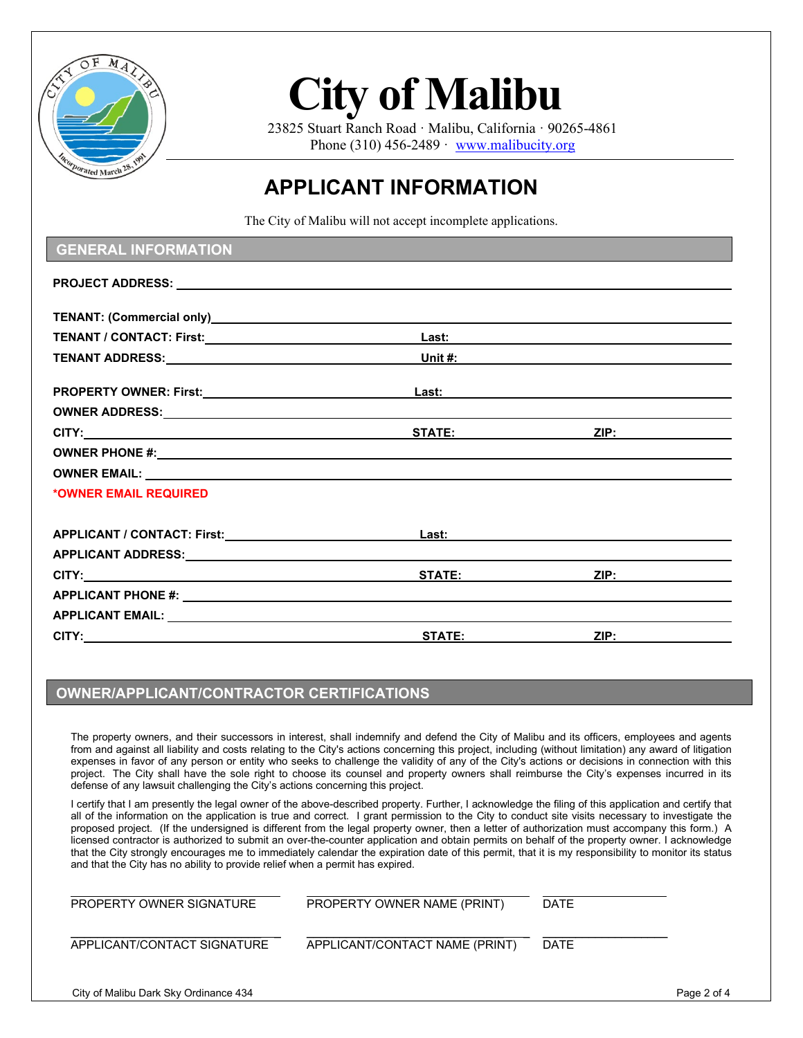

23825 Stuart Ranch Road · Malibu, California · 90265-4861 Phone  $(310)$  456-2489 · [www.malibucity.org](http://www.malibucity.org/)

### **APPLICANT INFORMATION**

The City of Malibu will not accept incomplete applications.

| <b>GENERAL INFORMATION</b>                                                                                                                                                                                                    |               |      |  |
|-------------------------------------------------------------------------------------------------------------------------------------------------------------------------------------------------------------------------------|---------------|------|--|
|                                                                                                                                                                                                                               |               |      |  |
| TENANT: (Commercial only) and the contract of the contract of the contract of the contract of the contract of the contract of the contract of the contract of the contract of the contract of the contract of the contract of |               |      |  |
|                                                                                                                                                                                                                               |               |      |  |
|                                                                                                                                                                                                                               |               |      |  |
|                                                                                                                                                                                                                               |               |      |  |
|                                                                                                                                                                                                                               |               |      |  |
|                                                                                                                                                                                                                               |               |      |  |
| OWNER PHONE #: Network and the set of the set of the set of the set of the set of the set of the set of the set of the set of the set of the set of the set of the set of the set of the set of the set of the set of the set |               |      |  |
|                                                                                                                                                                                                                               |               |      |  |
| *OWNER EMAIL REQUIRED                                                                                                                                                                                                         |               |      |  |
|                                                                                                                                                                                                                               |               |      |  |
|                                                                                                                                                                                                                               |               |      |  |
|                                                                                                                                                                                                                               |               |      |  |
|                                                                                                                                                                                                                               |               | ZIP: |  |
|                                                                                                                                                                                                                               |               |      |  |
|                                                                                                                                                                                                                               |               |      |  |
|                                                                                                                                                                                                                               | <b>STATE:</b> | ZIP: |  |

#### **OWNER/APPLICANT/CONTRACTOR CERTIFICATIONS**

The property owners, and their successors in interest, shall indemnify and defend the City of Malibu and its officers, employees and agents from and against all liability and costs relating to the City's actions concerning this project, including (without limitation) any award of litigation expenses in favor of any person or entity who seeks to challenge the validity of any of the City's actions or decisions in connection with this project. The City shall have the sole right to choose its counsel and property owners shall reimburse the City's expenses incurred in its defense of any lawsuit challenging the City's actions concerning this project.

I certify that I am presently the legal owner of the above-described property. Further, I acknowledge the filing of this application and certify that all of the information on the application is true and correct. I grant permission to the City to conduct site visits necessary to investigate the proposed project. (If the undersigned is different from the legal property owner, then a letter of authorization must accompany this form.) A licensed contractor is authorized to submit an over-the-counter application and obtain permits on behalf of the property owner. I acknowledge that the City strongly encourages me to immediately calendar the expiration date of this permit, that it is my responsibility to monitor its status and that the City has no ability to provide relief when a permit has expired.

| PROPERTY OWNER SIGNATURE              | PROPERTY OWNER NAME (PRINT)    | <b>DATE</b> |             |
|---------------------------------------|--------------------------------|-------------|-------------|
| APPLICANT/CONTACT SIGNATURE           | APPLICANT/CONTACT NAME (PRINT) | <b>DATE</b> |             |
| City of Malibu Dark Sky Ordinance 434 |                                |             | Page 2 of 4 |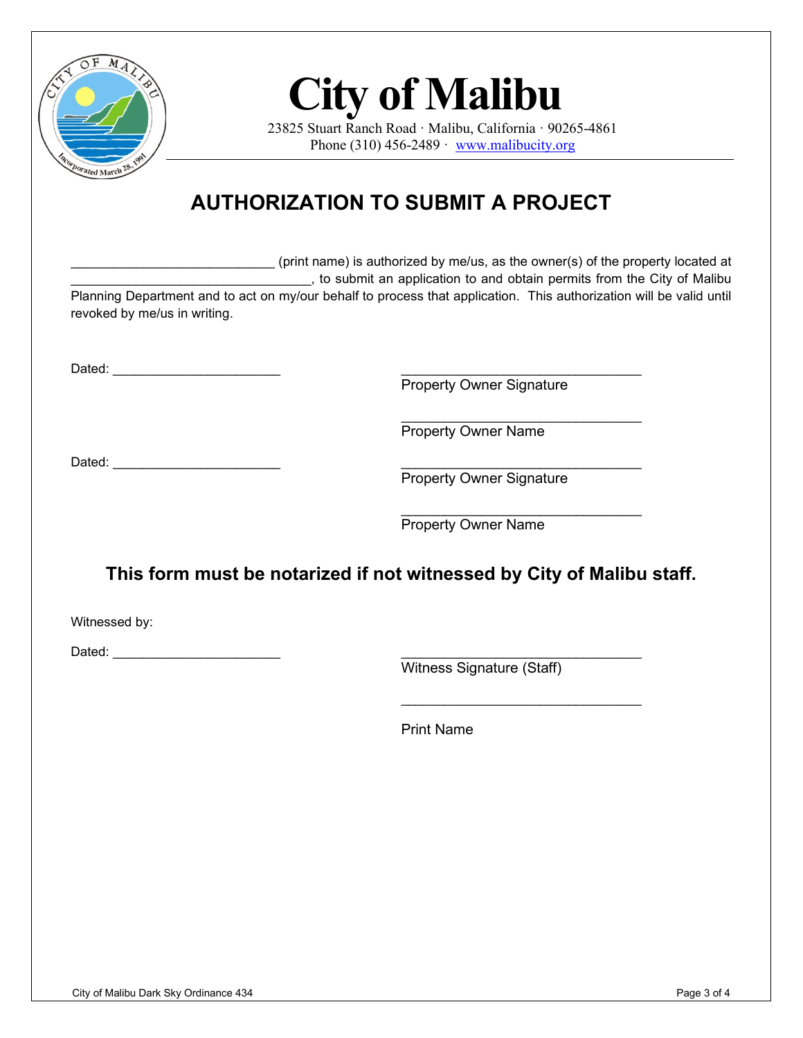

23825 Stuart Ranch Road · Malibu, California · 90265-4861 Phone (310) 456-2489  $\cdot$  [www.malibucity.org](http://www.malibucity.org/)

## **AUTHORIZATION TO SUBMIT A PROJECT**

\_\_\_\_\_\_\_\_\_\_\_\_\_\_\_\_\_\_\_\_\_\_\_\_\_\_\_\_ (print name) is authorized by me/us, as the owner(s) of the property located at  $\Box$ , to submit an application to and obtain permits from the City of Malibu Planning Department and to act on my/our behalf to process that application. This authorization will be valid until

Dated:  $\Box$ 

revoked by me/us in writing.

Property Owner Signature

\_\_\_\_\_\_\_\_\_\_\_\_\_\_\_\_\_\_\_\_\_\_\_\_\_\_\_\_\_\_\_\_\_ Property Owner Name

Dated:  $\Box$ 

Property Owner Signature

\_\_\_\_\_\_\_\_\_\_\_\_\_\_\_\_\_\_\_\_\_\_\_\_\_\_\_\_\_\_\_\_\_ Property Owner Name

### **This form must be notarized if not witnessed by City of Malibu staff.**

Witnessed by:

Dated:  $\Box$ 

Witness Signature (Staff)

\_\_\_\_\_\_\_\_\_\_\_\_\_\_\_\_\_\_\_\_\_\_\_\_\_\_\_\_\_\_\_\_\_

Print Name